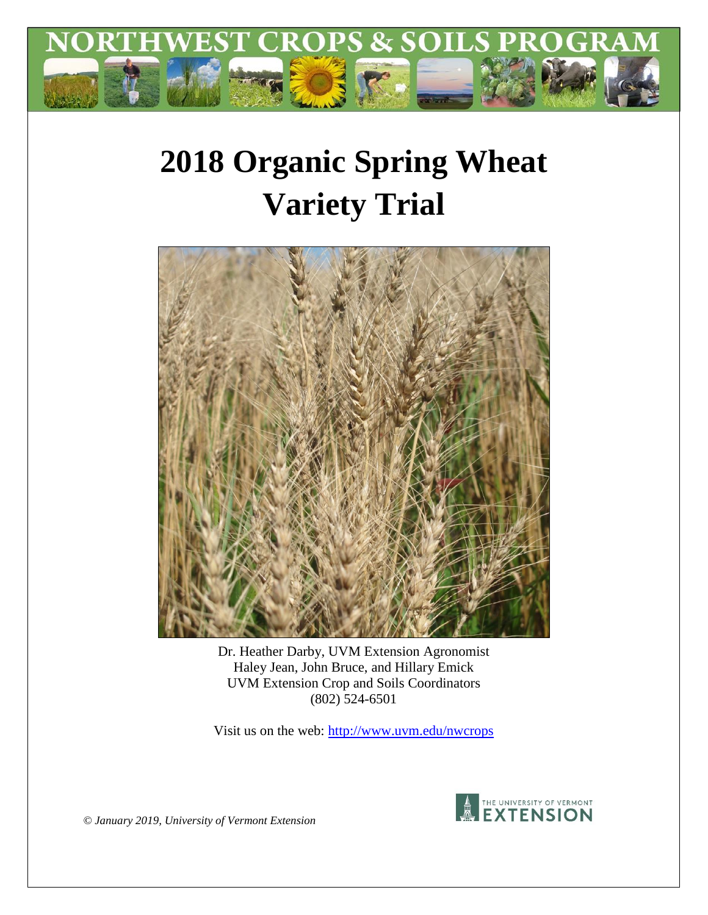

# **2018 Organic Spring Wheat Variety Trial**



Dr. Heather Darby, UVM Extension Agronomist Haley Jean, John Bruce, and Hillary Emick UVM Extension Crop and Soils Coordinators (802) 524-6501

Visit us on the web:<http://www.uvm.edu/nwcrops>



*© January 2019, University of Vermont Extension*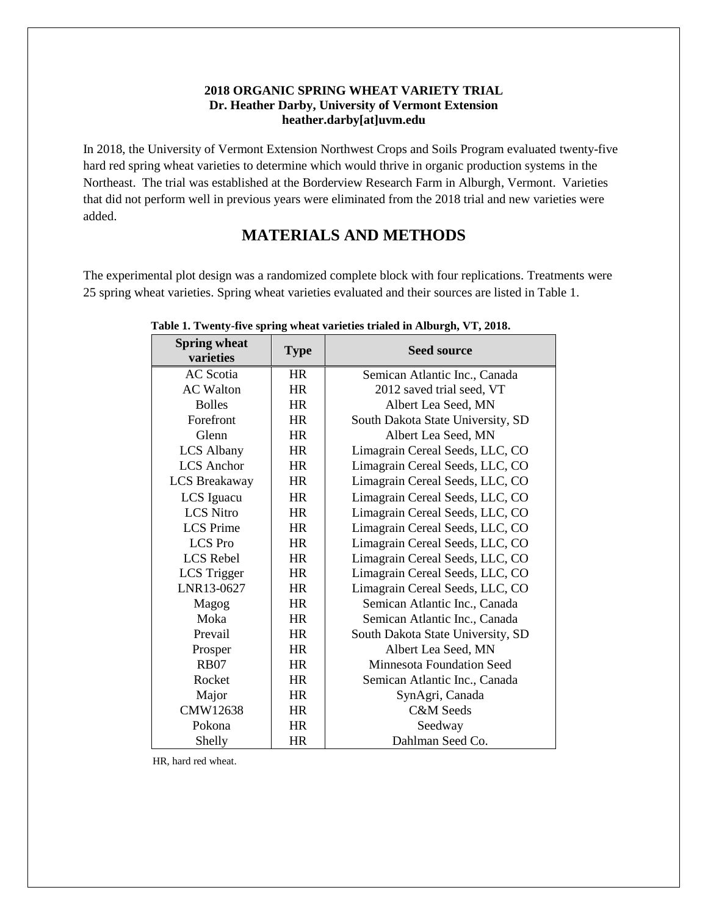#### **2018 ORGANIC SPRING WHEAT VARIETY TRIAL Dr. Heather Darby, University of Vermont Extension heather.darby[at]uvm.edu**

In 2018, the University of Vermont Extension Northwest Crops and Soils Program evaluated twenty-five hard red spring wheat varieties to determine which would thrive in organic production systems in the Northeast. The trial was established at the Borderview Research Farm in Alburgh, Vermont. Varieties that did not perform well in previous years were eliminated from the 2018 trial and new varieties were added.

## **MATERIALS AND METHODS**

The experimental plot design was a randomized complete block with four replications. Treatments were 25 spring wheat varieties. Spring wheat varieties evaluated and their sources are listed in Table 1.

| эргинд wileat<br>varieties | <b>Type</b> | <b>Seed source</b>                |  |  |
|----------------------------|-------------|-----------------------------------|--|--|
| <b>AC</b> Scotia           | <b>HR</b>   | Semican Atlantic Inc., Canada     |  |  |
| <b>AC</b> Walton           | <b>HR</b>   | 2012 saved trial seed, VT         |  |  |
| <b>Bolles</b>              | <b>HR</b>   | Albert Lea Seed, MN               |  |  |
| Forefront                  | <b>HR</b>   | South Dakota State University, SD |  |  |
| Glenn                      | <b>HR</b>   | Albert Lea Seed, MN               |  |  |
| <b>LCS Albany</b>          | <b>HR</b>   | Limagrain Cereal Seeds, LLC, CO   |  |  |
| <b>LCS</b> Anchor          | <b>HR</b>   | Limagrain Cereal Seeds, LLC, CO   |  |  |
| <b>LCS Breakaway</b>       | HR          | Limagrain Cereal Seeds, LLC, CO   |  |  |
| LCS Iguacu                 | <b>HR</b>   | Limagrain Cereal Seeds, LLC, CO   |  |  |
| <b>LCS Nitro</b>           | <b>HR</b>   | Limagrain Cereal Seeds, LLC, CO   |  |  |
| <b>LCS</b> Prime           | <b>HR</b>   | Limagrain Cereal Seeds, LLC, CO   |  |  |
| <b>LCS</b> Pro             | <b>HR</b>   | Limagrain Cereal Seeds, LLC, CO   |  |  |
| <b>LCS</b> Rebel           | <b>HR</b>   | Limagrain Cereal Seeds, LLC, CO   |  |  |
| LCS Trigger                | <b>HR</b>   | Limagrain Cereal Seeds, LLC, CO   |  |  |
| LNR13-0627                 | <b>HR</b>   | Limagrain Cereal Seeds, LLC, CO   |  |  |
| Magog                      | <b>HR</b>   | Semican Atlantic Inc., Canada     |  |  |
| Moka                       | <b>HR</b>   | Semican Atlantic Inc., Canada     |  |  |
| Prevail                    | <b>HR</b>   | South Dakota State University, SD |  |  |
| Prosper                    | <b>HR</b>   | Albert Lea Seed, MN               |  |  |
| <b>RB07</b>                | <b>HR</b>   | <b>Minnesota Foundation Seed</b>  |  |  |
| Rocket                     | <b>HR</b>   | Semican Atlantic Inc., Canada     |  |  |
| Major                      | <b>HR</b>   | SynAgri, Canada                   |  |  |
| CMW12638                   | <b>HR</b>   | <b>C&amp;M</b> Seeds              |  |  |
| Pokona                     | <b>HR</b>   | Seedway                           |  |  |
| Shelly                     | <b>HR</b>   | Dahlman Seed Co.                  |  |  |

#### **Table 1. Twenty-five spring wheat varieties trialed in Alburgh, VT, 2018.**

HR, hard red wheat.

**Spring wheat**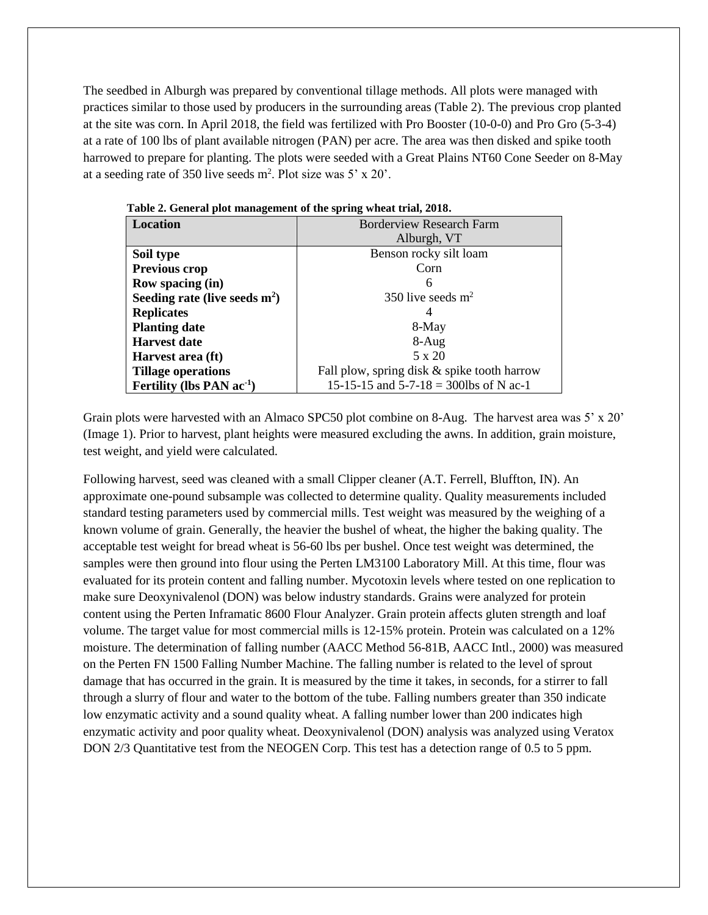The seedbed in Alburgh was prepared by conventional tillage methods. All plots were managed with practices similar to those used by producers in the surrounding areas (Table 2). The previous crop planted at the site was corn. In April 2018, the field was fertilized with Pro Booster (10-0-0) and Pro Gro (5-3-4) at a rate of 100 lbs of plant available nitrogen (PAN) per acre. The area was then disked and spike tooth harrowed to prepare for planting. The plots were seeded with a Great Plains NT60 Cone Seeder on 8-May at a seeding rate of 350 live seeds  $m^2$ . Plot size was 5' x 20'.

| Location                        | <b>Borderview Research Farm</b>             |  |  |  |  |
|---------------------------------|---------------------------------------------|--|--|--|--|
|                                 | Alburgh, VT                                 |  |  |  |  |
| Soil type                       | Benson rocky silt loam                      |  |  |  |  |
| Previous crop                   | Corn                                        |  |  |  |  |
| Row spacing (in)                | 6                                           |  |  |  |  |
| Seeding rate (live seeds $m2$ ) | 350 live seeds $m2$                         |  |  |  |  |
| <b>Replicates</b>               |                                             |  |  |  |  |
| <b>Planting date</b>            | 8-May                                       |  |  |  |  |
| <b>Harvest date</b>             | $8-Aug$                                     |  |  |  |  |
| Harvest area (ft)               | 5 x 20                                      |  |  |  |  |
| <b>Tillage operations</b>       | Fall plow, spring disk & spike tooth harrow |  |  |  |  |
| Fertility (lbs PAN $ac^{-1}$ )  | 15-15-15 and $5-7-18 = 300$ lbs of N ac-1   |  |  |  |  |

 **Table 2. General plot management of the spring wheat trial, 2018.**

Grain plots were harvested with an Almaco SPC50 plot combine on 8-Aug. The harvest area was 5' x 20' (Image 1). Prior to harvest, plant heights were measured excluding the awns. In addition, grain moisture, test weight, and yield were calculated.

Following harvest, seed was cleaned with a small Clipper cleaner (A.T. Ferrell, Bluffton, IN). An approximate one-pound subsample was collected to determine quality. Quality measurements included standard testing parameters used by commercial mills. Test weight was measured by the weighing of a known volume of grain. Generally, the heavier the bushel of wheat, the higher the baking quality. The acceptable test weight for bread wheat is 56-60 lbs per bushel. Once test weight was determined, the samples were then ground into flour using the Perten LM3100 Laboratory Mill. At this time, flour was evaluated for its protein content and falling number. Mycotoxin levels where tested on one replication to make sure Deoxynivalenol (DON) was below industry standards. Grains were analyzed for protein content using the Perten Inframatic 8600 Flour Analyzer. Grain protein affects gluten strength and loaf volume. The target value for most commercial mills is 12-15% protein. Protein was calculated on a 12% moisture. The determination of falling number (AACC Method 56-81B, AACC Intl., 2000) was measured on the Perten FN 1500 Falling Number Machine. The falling number is related to the level of sprout damage that has occurred in the grain. It is measured by the time it takes, in seconds, for a stirrer to fall through a slurry of flour and water to the bottom of the tube. Falling numbers greater than 350 indicate low enzymatic activity and a sound quality wheat. A falling number lower than 200 indicates high enzymatic activity and poor quality wheat. Deoxynivalenol (DON) analysis was analyzed using Veratox DON 2/3 Quantitative test from the NEOGEN Corp. This test has a detection range of 0.5 to 5 ppm.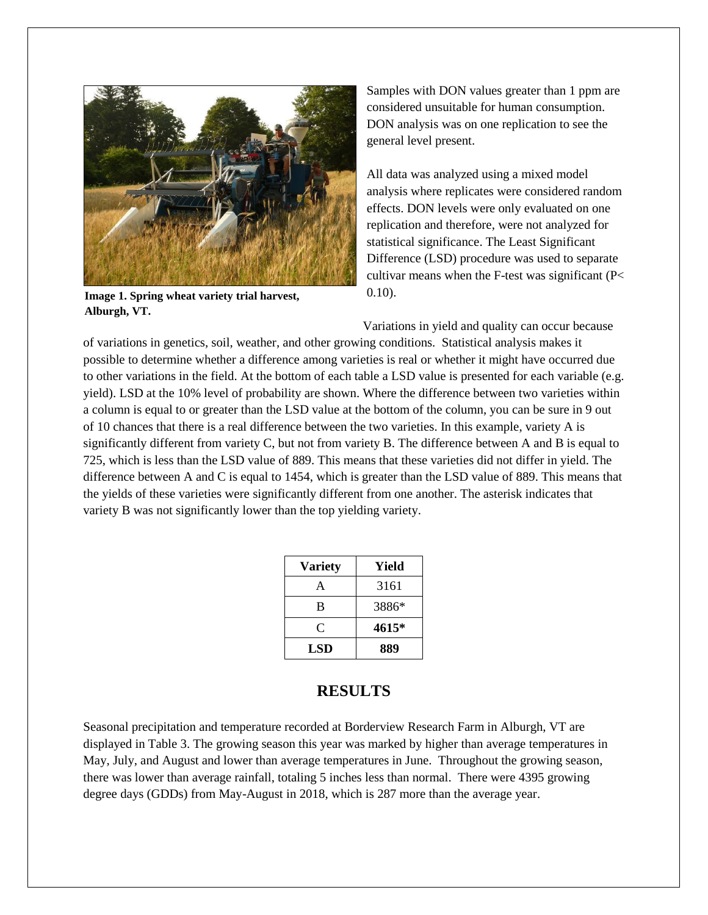

**Image 1. Spring wheat variety trial harvest, Alburgh, VT.**

Samples with DON values greater than 1 ppm are considered unsuitable for human consumption. DON analysis was on one replication to see the general level present.

All data was analyzed using a mixed model analysis where replicates were considered random effects. DON levels were only evaluated on one replication and therefore, were not analyzed for statistical significance. The Least Significant Difference (LSD) procedure was used to separate cultivar means when the F-test was significant (P< 0.10).

Variations in yield and quality can occur because

of variations in genetics, soil, weather, and other growing conditions. Statistical analysis makes it possible to determine whether a difference among varieties is real or whether it might have occurred due to other variations in the field. At the bottom of each table a LSD value is presented for each variable (e.g. yield). LSD at the 10% level of probability are shown. Where the difference between two varieties within a column is equal to or greater than the LSD value at the bottom of the column, you can be sure in 9 out of 10 chances that there is a real difference between the two varieties. In this example, variety A is significantly different from variety C, but not from variety B. The difference between A and B is equal to 725, which is less than the LSD value of 889. This means that these varieties did not differ in yield. The difference between A and C is equal to 1454, which is greater than the LSD value of 889. This means that the yields of these varieties were significantly different from one another. The asterisk indicates that variety B was not significantly lower than the top yielding variety.

| <b>Variety</b> | Yield |
|----------------|-------|
| А              | 3161  |
| B              | 3886* |
| C              | 4615* |
| LSD            | 889   |

## **RESULTS**

Seasonal precipitation and temperature recorded at Borderview Research Farm in Alburgh, VT are displayed in Table 3. The growing season this year was marked by higher than average temperatures in May, July, and August and lower than average temperatures in June. Throughout the growing season, there was lower than average rainfall, totaling 5 inches less than normal. There were 4395 growing degree days (GDDs) from May-August in 2018, which is 287 more than the average year.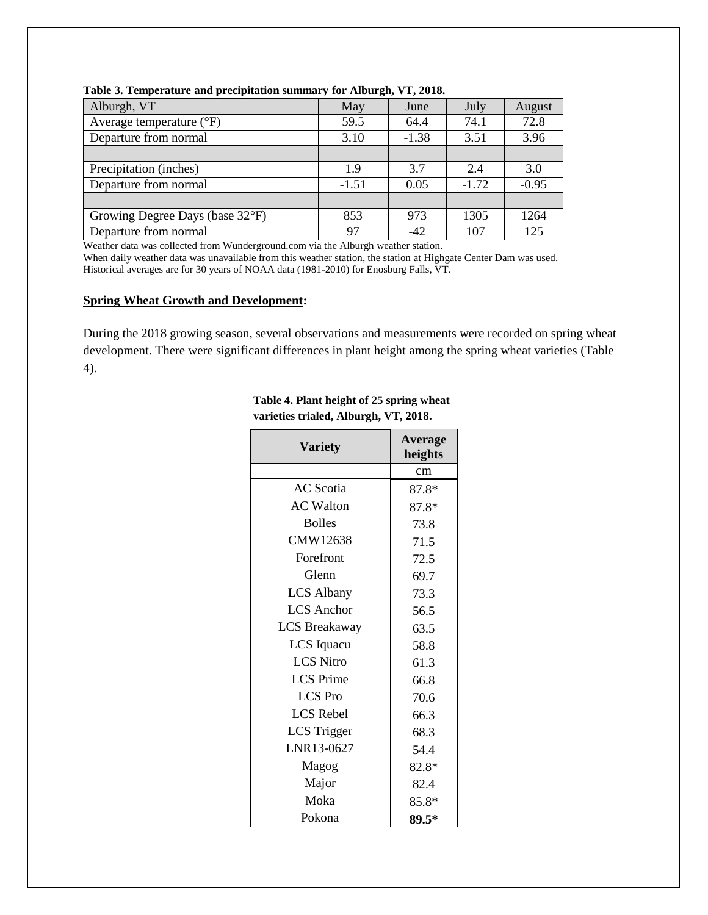| Alburgh, VT                       | May     | June    | July    | August  |
|-----------------------------------|---------|---------|---------|---------|
| Average temperature $(^{\circ}F)$ | 59.5    | 64.4    | 74.1    | 72.8    |
| Departure from normal             | 3.10    | $-1.38$ | 3.51    | 3.96    |
|                                   |         |         |         |         |
| Precipitation (inches)            | 1.9     | 3.7     | 2.4     | 3.0     |
| Departure from normal             | $-1.51$ | 0.05    | $-1.72$ | $-0.95$ |
|                                   |         |         |         |         |
| Growing Degree Days (base 32°F)   | 853     | 973     | 1305    | 1264    |
| Departure from normal             | 97      | $-42$   | 107     | 125     |

**Table 3. Temperature and precipitation summary for Alburgh, VT, 2018.**

Weather data was collected from Wunderground.com via the Alburgh weather station.

When daily weather data was unavailable from this weather station, the station at Highgate Center Dam was used. Historical averages are for 30 years of NOAA data (1981-2010) for Enosburg Falls, VT.

#### **Spring Wheat Growth and Development:**

During the 2018 growing season, several observations and measurements were recorded on spring wheat development. There were significant differences in plant height among the spring wheat varieties (Table 4).

| Variety              | <b>Average</b><br>heights |  |  |
|----------------------|---------------------------|--|--|
|                      | cm                        |  |  |
| <b>AC</b> Scotia     | 87.8*                     |  |  |
| <b>AC</b> Walton     | 87.8*                     |  |  |
| <b>Bolles</b>        | 73.8                      |  |  |
| CMW12638             | 71.5                      |  |  |
| Forefront            | 72.5                      |  |  |
| Glenn                | 69.7                      |  |  |
| <b>LCS Albany</b>    | 73.3                      |  |  |
| <b>LCS</b> Anchor    | 56.5                      |  |  |
| <b>LCS Breakaway</b> | 63.5                      |  |  |
| LCS Iquacu           | 58.8                      |  |  |
| <b>LCS</b> Nitro     | 61.3                      |  |  |
| <b>LCS</b> Prime     | 66.8                      |  |  |
| <b>LCS</b> Pro       | 70.6                      |  |  |
| <b>LCS</b> Rebel     | 66.3                      |  |  |
| <b>LCS</b> Trigger   | 68.3                      |  |  |
| LNR13-0627           | 54.4                      |  |  |
| Magog                | 82.8*                     |  |  |
| Major                | 82.4                      |  |  |
| Moka                 | $85.8*$                   |  |  |
| Pokona               | 89.5*                     |  |  |

#### **Table 4. Plant height of 25 spring wheat varieties trialed, Alburgh, VT, 2018.**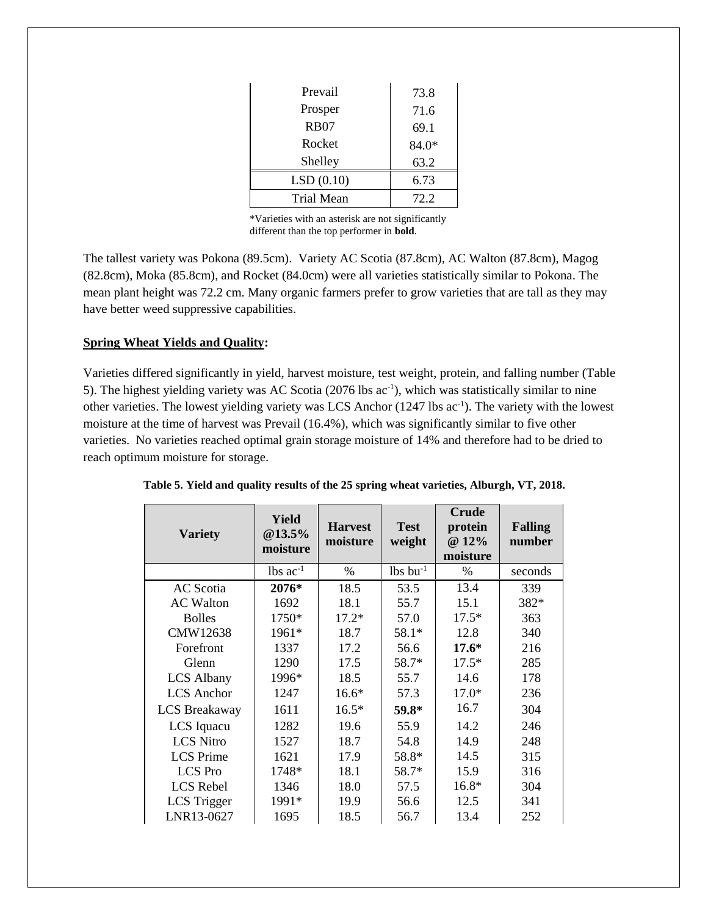| Prevail     | 73.8  |
|-------------|-------|
| Prosper     | 71.6  |
| <b>RB07</b> | 69.1  |
| Rocket      | 84.0* |
| Shelley     | 63.2  |
| LSD(0.10)   | 6.73  |
| Trial Mean  | 72. Z |

\*Varieties with an asterisk are not significantly different than the top performer in **bold**.

The tallest variety was Pokona (89.5cm). Variety AC Scotia (87.8cm), AC Walton (87.8cm), Magog (82.8cm), Moka (85.8cm), and Rocket (84.0cm) were all varieties statistically similar to Pokona. The mean plant height was 72.2 cm. Many organic farmers prefer to grow varieties that are tall as they may have better weed suppressive capabilities.

### **Spring Wheat Yields and Quality:**

Varieties differed significantly in yield, harvest moisture, test weight, protein, and falling number (Table 5). The highest yielding variety was AC Scotia (2076 lbs ac<sup>-1</sup>), which was statistically similar to nine other varieties. The lowest yielding variety was LCS Anchor (1247 lbs ac<sup>-1</sup>). The variety with the lowest moisture at the time of harvest was Prevail (16.4%), which was significantly similar to five other varieties. No varieties reached optimal grain storage moisture of 14% and therefore had to be dried to reach optimum moisture for storage.

| <b>Variety</b>       | <b>Yield</b><br>@13.5%<br>moisture | <b>Harvest</b><br>moisture | <b>Test</b><br>weight  | <b>Crude</b><br>protein<br>@ 12%<br>moisture | <b>Falling</b><br>number |
|----------------------|------------------------------------|----------------------------|------------------------|----------------------------------------------|--------------------------|
|                      | $lbs$ ac <sup>-1</sup>             | %                          | $lbs$ bu <sup>-1</sup> | $\%$                                         | seconds                  |
| AC Scotia            | 2076*                              | 18.5                       | 53.5                   | 13.4                                         | 339                      |
| <b>AC</b> Walton     | 1692                               | 18.1                       | 55.7                   | 15.1                                         | 382*                     |
| <b>Bolles</b>        | 1750*                              | $17.2*$                    | 57.0                   | $17.5*$                                      | 363                      |
| CMW12638             | 1961*                              | 18.7                       | 58.1*                  | 12.8                                         | 340                      |
| Forefront            | 1337                               | 17.2                       | 56.6                   | $17.6*$                                      | 216                      |
| Glenn                | 1290                               | 17.5                       | 58.7*                  | $17.5*$                                      | 285                      |
| <b>LCS</b> Albany    | 1996*                              | 18.5                       | 55.7                   | 14.6                                         | 178                      |
| <b>LCS</b> Anchor    | 1247                               | $16.6*$                    | 57.3                   | $17.0*$                                      | 236                      |
| <b>LCS</b> Breakaway | 1611                               | $16.5*$                    | 59.8*                  | 16.7                                         | 304                      |
| LCS Iquacu           | 1282                               | 19.6                       | 55.9                   | 14.2                                         | 246                      |
| <b>LCS Nitro</b>     | 1527                               | 18.7                       | 54.8                   | 14.9                                         | 248                      |
| <b>LCS</b> Prime     | 1621                               | 17.9                       | 58.8*                  | 14.5                                         | 315                      |
| <b>LCS</b> Pro       | 1748*                              | 18.1                       | 58.7*                  | 15.9                                         | 316                      |
| <b>LCS</b> Rebel     | 1346                               | 18.0                       | 57.5                   | 16.8*                                        | 304                      |
| LCS Trigger          | 1991*                              | 19.9                       | 56.6                   | 12.5                                         | 341                      |
| LNR13-0627           | 1695                               | 18.5                       | 56.7                   | 13.4                                         | 252                      |

**Table 5. Yield and quality results of the 25 spring wheat varieties, Alburgh, VT, 2018.**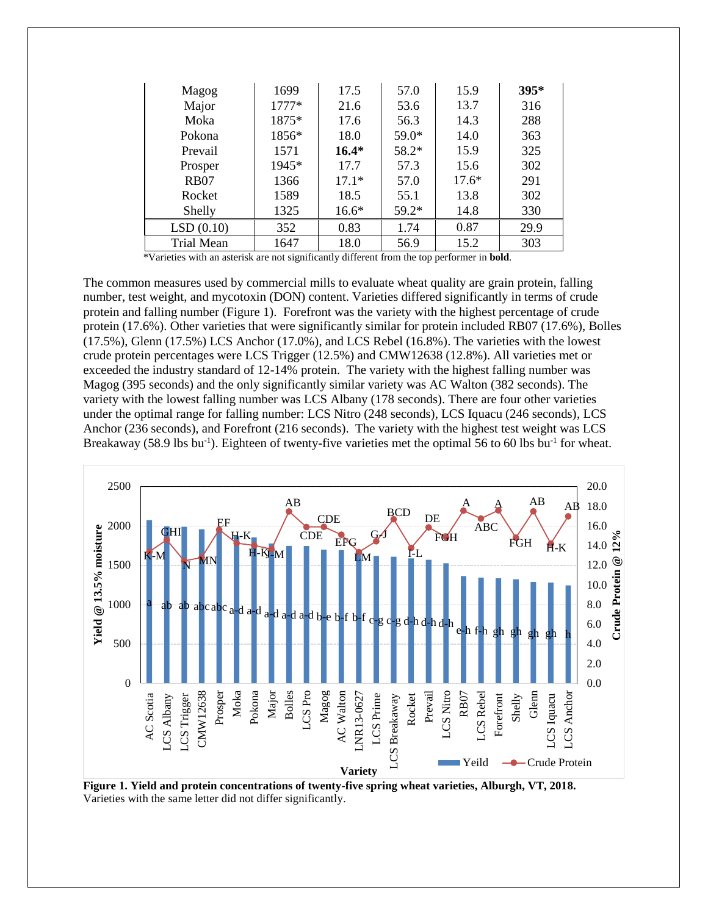| Magog             | 1699    | 17.5    | 57.0    | 15.9    | $395*$ |
|-------------------|---------|---------|---------|---------|--------|
| Major             | $1777*$ | 21.6    | 53.6    | 13.7    | 316    |
| Moka              | 1875*   | 17.6    | 56.3    | 14.3    | 288    |
| Pokona            | 1856*   | 18.0    | 59.0*   | 14.0    | 363    |
| Prevail           | 1571    | $16.4*$ | 58.2*   | 15.9    | 325    |
| Prosper           | 1945*   | 17.7    | 57.3    | 15.6    | 302    |
| <b>RB07</b>       | 1366    | $17.1*$ | 57.0    | $17.6*$ | 291    |
| Rocket            | 1589    | 18.5    | 55.1    | 13.8    | 302    |
| Shelly            | 1325    | $16.6*$ | $59.2*$ | 14.8    | 330    |
| LSD(0.10)         | 352     | 0.83    | 1.74    | 0.87    | 29.9   |
| <b>Trial Mean</b> | 1647    | 18.0    | 56.9    | 15.2    | 303    |

\*Varieties with an asterisk are not significantly different from the top performer in **bold**.

The common measures used by commercial mills to evaluate wheat quality are grain protein, falling number, test weight, and mycotoxin (DON) content. Varieties differed significantly in terms of crude protein and falling number (Figure 1). Forefront was the variety with the highest percentage of crude protein (17.6%). Other varieties that were significantly similar for protein included RB07 (17.6%), Bolles (17.5%), Glenn (17.5%) LCS Anchor (17.0%), and LCS Rebel (16.8%). The varieties with the lowest crude protein percentages were LCS Trigger (12.5%) and CMW12638 (12.8%). All varieties met or exceeded the industry standard of 12-14% protein. The variety with the highest falling number was Magog (395 seconds) and the only significantly similar variety was AC Walton (382 seconds). The variety with the lowest falling number was LCS Albany (178 seconds). There are four other varieties under the optimal range for falling number: LCS Nitro (248 seconds), LCS Iquacu (246 seconds), LCS Anchor (236 seconds), and Forefront (216 seconds). The variety with the highest test weight was LCS Breakaway (58.9 lbs bu<sup>-1</sup>). Eighteen of twenty-five varieties met the optimal 56 to 60 lbs bu<sup>-1</sup> for wheat.



**Figure 1. Yield and protein concentrations of twenty-five spring wheat varieties, Alburgh, VT, 2018.** Varieties with the same letter did not differ significantly.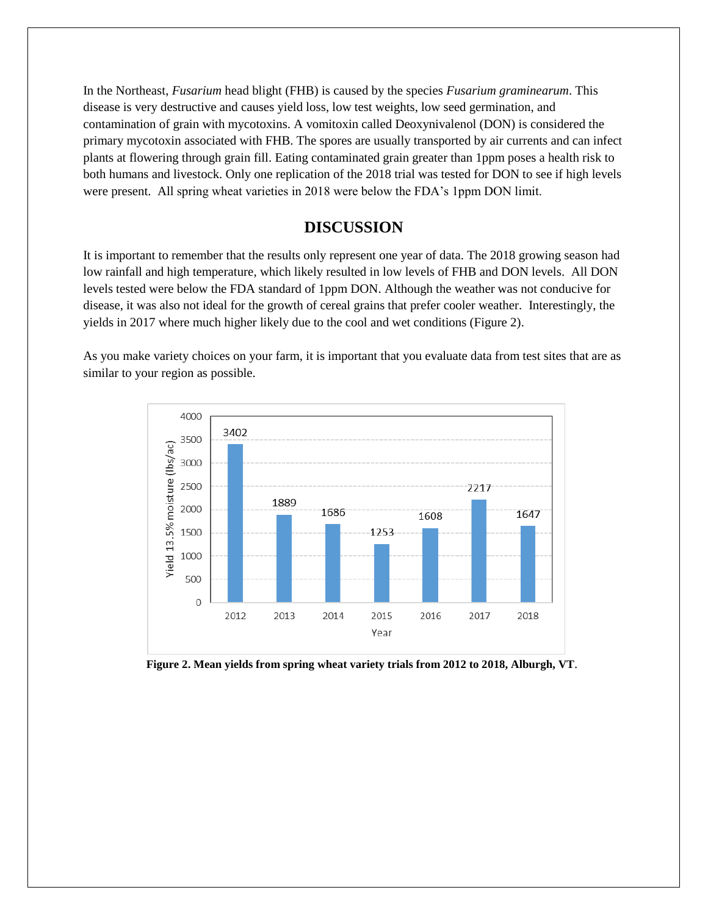In the Northeast, *Fusarium* head blight (FHB) is caused by the species *Fusarium graminearum*. This disease is very destructive and causes yield loss, low test weights, low seed germination, and contamination of grain with mycotoxins. A vomitoxin called Deoxynivalenol (DON) is considered the primary mycotoxin associated with FHB. The spores are usually transported by air currents and can infect plants at flowering through grain fill. Eating contaminated grain greater than 1ppm poses a health risk to both humans and livestock. Only one replication of the 2018 trial was tested for DON to see if high levels were present. All spring wheat varieties in 2018 were below the FDA's 1ppm DON limit.

## **DISCUSSION**

It is important to remember that the results only represent one year of data. The 2018 growing season had low rainfall and high temperature, which likely resulted in low levels of FHB and DON levels. All DON levels tested were below the FDA standard of 1ppm DON. Although the weather was not conducive for disease, it was also not ideal for the growth of cereal grains that prefer cooler weather. Interestingly, the yields in 2017 where much higher likely due to the cool and wet conditions (Figure 2).

As you make variety choices on your farm, it is important that you evaluate data from test sites that are as similar to your region as possible.



 **Figure 2. Mean yields from spring wheat variety trials from 2012 to 2018, Alburgh, VT**.